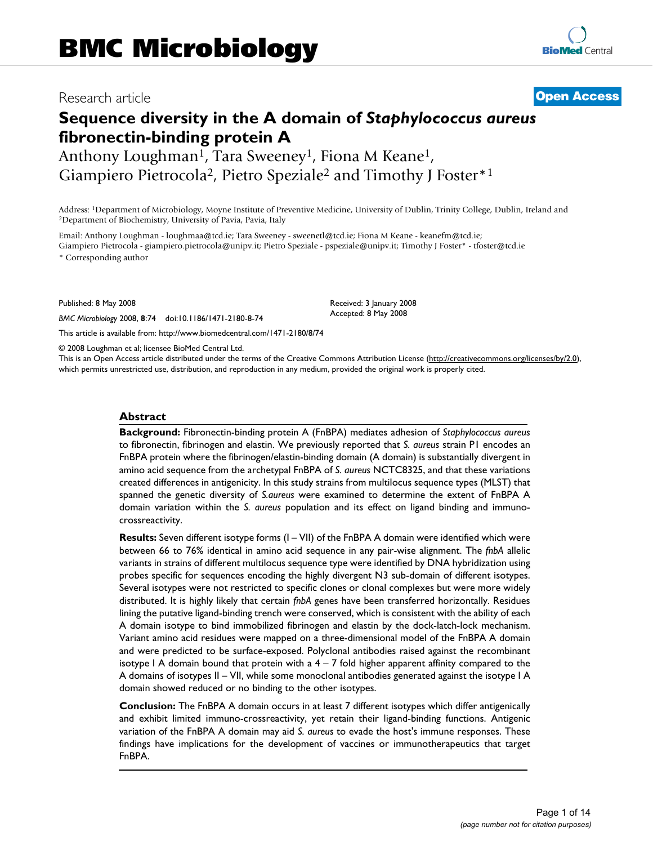## Research article **[Open Access](http://www.biomedcentral.com/info/about/charter/)**

# **Sequence diversity in the A domain of** *Staphylococcus aureus*  **fibronectin-binding protein A**

Anthony Loughman<sup>1</sup>, Tara Sweeney<sup>1</sup>, Fiona M Keane<sup>1</sup>, Giampiero Pietrocola<sup>2</sup>, Pietro Speziale<sup>2</sup> and Timothy J Foster<sup>\*1</sup>

Address: <sup>1</sup>Department of Microbiology, Moyne Institute of Preventive Medicine, University of Dublin, Trinity College, Dublin, Ireland and <sup>2</sup>Department of Biochemistry, University of Pavia, Pavia, Italy

Email: Anthony Loughman - loughmaa@tcd.ie; Tara Sweeney - sweenetl@tcd.ie; Fiona M Keane - keanefm@tcd.ie; Giampiero Pietrocola - giampiero.pietrocola@unipv.it; Pietro Speziale - pspeziale@unipv.it; Timothy J Foster\* - tfoster@tcd.ie \* Corresponding author

Published: 8 May 2008

*BMC Microbiology* 2008, **8**:74 doi:10.1186/1471-2180-8-74

[This article is available from: http://www.biomedcentral.com/1471-2180/8/74](http://www.biomedcentral.com/1471-2180/8/74)

© 2008 Loughman et al; licensee BioMed Central Ltd.

This is an Open Access article distributed under the terms of the Creative Commons Attribution License [\(http://creativecommons.org/licenses/by/2.0\)](http://creativecommons.org/licenses/by/2.0), which permits unrestricted use, distribution, and reproduction in any medium, provided the original work is properly cited.

Received: 3 January 2008 Accepted: 8 May 2008

### **Abstract**

**Background:** Fibronectin-binding protein A (FnBPA) mediates adhesion of *Staphylococcus aureus* to fibronectin, fibrinogen and elastin. We previously reported that *S. aureus* strain P1 encodes an FnBPA protein where the fibrinogen/elastin-binding domain (A domain) is substantially divergent in amino acid sequence from the archetypal FnBPA of *S. aureus* NCTC8325, and that these variations created differences in antigenicity. In this study strains from multilocus sequence types (MLST) that spanned the genetic diversity of *S.aureus* were examined to determine the extent of FnBPA A domain variation within the *S. aureus* population and its effect on ligand binding and immunocrossreactivity.

**Results:** Seven different isotype forms (I – VII) of the FnBPA A domain were identified which were between 66 to 76% identical in amino acid sequence in any pair-wise alignment. The *fnbA* allelic variants in strains of different multilocus sequence type were identified by DNA hybridization using probes specific for sequences encoding the highly divergent N3 sub-domain of different isotypes. Several isotypes were not restricted to specific clones or clonal complexes but were more widely distributed. It is highly likely that certain *fnbA* genes have been transferred horizontally. Residues lining the putative ligand-binding trench were conserved, which is consistent with the ability of each A domain isotype to bind immobilized fibrinogen and elastin by the dock-latch-lock mechanism. Variant amino acid residues were mapped on a three-dimensional model of the FnBPA A domain and were predicted to be surface-exposed. Polyclonal antibodies raised against the recombinant isotype I A domain bound that protein with a  $4 - 7$  fold higher apparent affinity compared to the A domains of isotypes II – VII, while some monoclonal antibodies generated against the isotype I A domain showed reduced or no binding to the other isotypes.

**Conclusion:** The FnBPA A domain occurs in at least 7 different isotypes which differ antigenically and exhibit limited immuno-crossreactivity, yet retain their ligand-binding functions. Antigenic variation of the FnBPA A domain may aid *S. aureus* to evade the host's immune responses. These findings have implications for the development of vaccines or immunotherapeutics that target FnBPA.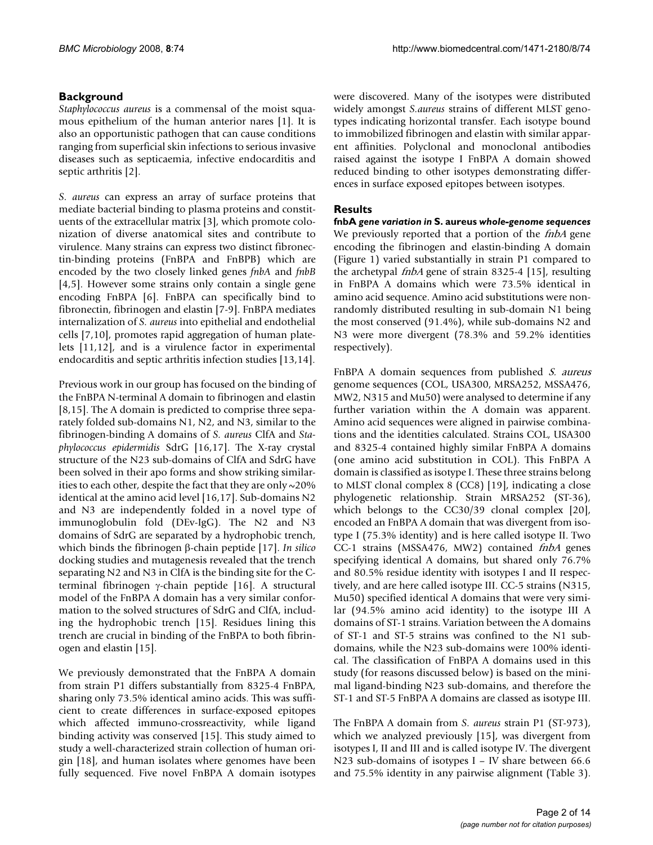### **Background**

*Staphylococcus aureus* is a commensal of the moist squamous epithelium of the human anterior nares [1]. It is also an opportunistic pathogen that can cause conditions ranging from superficial skin infections to serious invasive diseases such as septicaemia, infective endocarditis and septic arthritis [2].

*S. aureus* can express an array of surface proteins that mediate bacterial binding to plasma proteins and constituents of the extracellular matrix [3], which promote colonization of diverse anatomical sites and contribute to virulence. Many strains can express two distinct fibronectin-binding proteins (FnBPA and FnBPB) which are encoded by the two closely linked genes *fnbA* and *fnbB* [4,5]. However some strains only contain a single gene encoding FnBPA [6]. FnBPA can specifically bind to fibronectin, fibrinogen and elastin [7-9]. FnBPA mediates internalization of *S. aureus* into epithelial and endothelial cells [7,10], promotes rapid aggregation of human platelets [11,12], and is a virulence factor in experimental endocarditis and septic arthritis infection studies [13,14].

Previous work in our group has focused on the binding of the FnBPA N-terminal A domain to fibrinogen and elastin [8,15]. The A domain is predicted to comprise three separately folded sub-domains N1, N2, and N3, similar to the fibrinogen-binding A domains of *S. aureus* ClfA and *Staphylococcus epidermidis* SdrG [16,17]. The X-ray crystal structure of the N23 sub-domains of ClfA and SdrG have been solved in their apo forms and show striking similarities to each other, despite the fact that they are only ~20% identical at the amino acid level [16,17]. Sub-domains N2 and N3 are independently folded in a novel type of immunoglobulin fold (DEv-IgG). The N2 and N3 domains of SdrG are separated by a hydrophobic trench, which binds the fibrinogen β-chain peptide [17]. *In silico* docking studies and mutagenesis revealed that the trench separating N2 and N3 in ClfA is the binding site for the Cterminal fibrinogen γ-chain peptide [16]. A structural model of the FnBPA A domain has a very similar conformation to the solved structures of SdrG and ClfA, including the hydrophobic trench [15]. Residues lining this trench are crucial in binding of the FnBPA to both fibrinogen and elastin [15].

We previously demonstrated that the FnBPA A domain from strain P1 differs substantially from 8325-4 FnBPA, sharing only 73.5% identical amino acids. This was sufficient to create differences in surface-exposed epitopes which affected immuno-crossreactivity, while ligand binding activity was conserved [15]. This study aimed to study a well-characterized strain collection of human origin [18], and human isolates where genomes have been fully sequenced. Five novel FnBPA A domain isotypes

were discovered. Many of the isotypes were distributed widely amongst *S.aureus* strains of different MLST genotypes indicating horizontal transfer. Each isotype bound to immobilized fibrinogen and elastin with similar apparent affinities. Polyclonal and monoclonal antibodies raised against the isotype I FnBPA A domain showed reduced binding to other isotypes demonstrating differences in surface exposed epitopes between isotypes.

### **Results**

**fnbA** *gene variation in* **S. aureus** *whole-genome sequences* We previously reported that a portion of the *fnbA* gene encoding the fibrinogen and elastin-binding A domain (Figure 1) varied substantially in strain P1 compared to the archetypal fnbA gene of strain 8325-4 [15], resulting in FnBPA A domains which were 73.5% identical in amino acid sequence. Amino acid substitutions were nonrandomly distributed resulting in sub-domain N1 being the most conserved (91.4%), while sub-domains N2 and N3 were more divergent (78.3% and 59.2% identities respectively).

FnBPA A domain sequences from published S. aureus genome sequences (COL, USA300, MRSA252, MSSA476, MW2, N315 and Mu50) were analysed to determine if any further variation within the A domain was apparent. Amino acid sequences were aligned in pairwise combinations and the identities calculated. Strains COL, USA300 and 8325-4 contained highly similar FnBPA A domains (one amino acid substitution in COL). This FnBPA A domain is classified as isotype I. These three strains belong to MLST clonal complex 8 (CC8) [19], indicating a close phylogenetic relationship. Strain MRSA252 (ST-36), which belongs to the CC30/39 clonal complex [20], encoded an FnBPA A domain that was divergent from isotype I (75.3% identity) and is here called isotype II. Two CC-1 strains (MSSA476, MW2) contained fnbA genes specifying identical A domains, but shared only 76.7% and 80.5% residue identity with isotypes I and II respectively, and are here called isotype III. CC-5 strains (N315, Mu50) specified identical A domains that were very similar (94.5% amino acid identity) to the isotype III A domains of ST-1 strains. Variation between the A domains of ST-1 and ST-5 strains was confined to the N1 subdomains, while the N23 sub-domains were 100% identical. The classification of FnBPA A domains used in this study (for reasons discussed below) is based on the minimal ligand-binding N23 sub-domains, and therefore the ST-1 and ST-5 FnBPA A domains are classed as isotype III.

The FnBPA A domain from *S. aureus* strain P1 (ST-973), which we analyzed previously [15], was divergent from isotypes I, II and III and is called isotype IV. The divergent N23 sub-domains of isotypes I – IV share between 66.6 and 75.5% identity in any pairwise alignment (Table 3).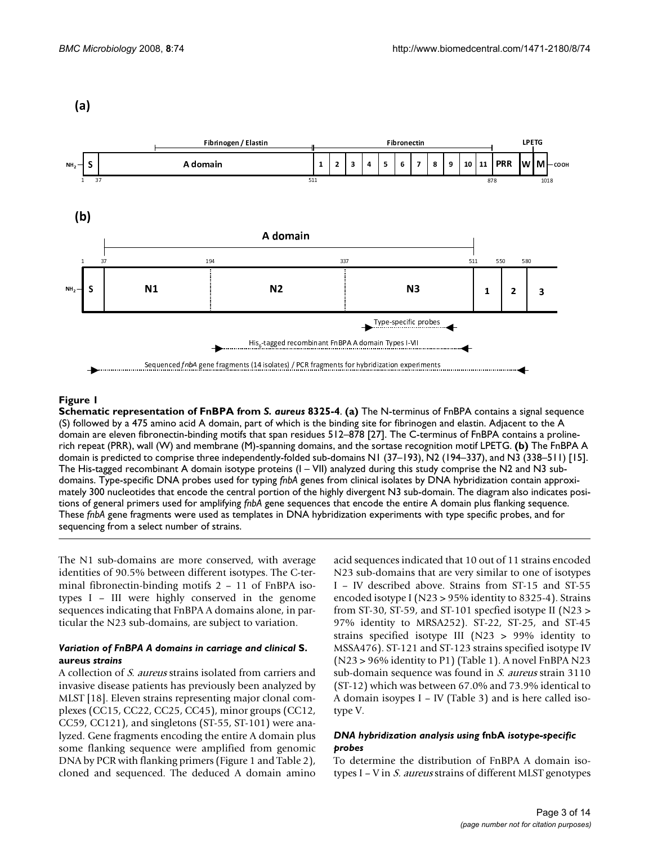$(a)$ 



### **Figure 1**

**Schematic representation of FnBPA from** *S. aureus* **8325-4**. **(a)** The N-terminus of FnBPA contains a signal sequence (S) followed by a 475 amino acid A domain, part of which is the binding site for fibrinogen and elastin. Adjacent to the A domain are eleven fibronectin-binding motifs that span residues 512–878 [27]. The C-terminus of FnBPA contains a prolinerich repeat (PRR), wall (W) and membrane (M)-spanning domains, and the sortase recognition motif LPETG. **(b)** The FnBPA A domain is predicted to comprise three independently-folded sub-domains N1 (37–193), N2 (194–337), and N3 (338–511) [15]. The His-tagged recombinant A domain isotype proteins  $(I - VII)$  analyzed during this study comprise the N2 and N3 subdomains. Type-specific DNA probes used for typing *fnbA* genes from clinical isolates by DNA hybridization contain approximately 300 nucleotides that encode the central portion of the highly divergent N3 sub-domain. The diagram also indicates positions of general primers used for amplifying *fnbA* gene sequences that encode the entire A domain plus flanking sequence. These *fnbA* gene fragments were used as templates in DNA hybridization experiments with type specific probes, and for sequencing from a select number of strains.

The N1 sub-domains are more conserved, with average identities of 90.5% between different isotypes. The C-terminal fibronectin-binding motifs 2 – 11 of FnBPA isotypes I – III were highly conserved in the genome sequences indicating that FnBPA A domains alone, in particular the N23 sub-domains, are subject to variation.

### *Variation of FnBPA A domains in carriage and clinical* **S. aureus** *strains*

A collection of S. aureus strains isolated from carriers and invasive disease patients has previously been analyzed by MLST [18]. Eleven strains representing major clonal complexes (CC15, CC22, CC25, CC45), minor groups (CC12, CC59, CC121), and singletons (ST-55, ST-101) were analyzed. Gene fragments encoding the entire A domain plus some flanking sequence were amplified from genomic DNA by PCR with flanking primers (Figure 1 and Table 2), cloned and sequenced. The deduced A domain amino

acid sequences indicated that 10 out of 11 strains encoded N23 sub-domains that are very similar to one of isotypes I – IV described above. Strains from ST-15 and ST-55 encoded isotype I (N23 > 95% identity to 8325-4). Strains from ST-30, ST-59, and ST-101 specfied isotype II (N23 > 97% identity to MRSA252). ST-22, ST-25, and ST-45 strains specified isotype III (N23 > 99% identity to MSSA476). ST-121 and ST-123 strains specified isotype IV (N23 > 96% identity to P1) (Table 1). A novel FnBPA N23 sub-domain sequence was found in S. aureus strain 3110 (ST-12) which was between 67.0% and 73.9% identical to A domain isoypes I – IV (Table 3) and is here called isotype V.

### *DNA hybridization analysis using* **fnbA** *isotype-specific probes*

To determine the distribution of FnBPA A domain isotypes  $I - V$  in *S. aureus* strains of different MLST genotypes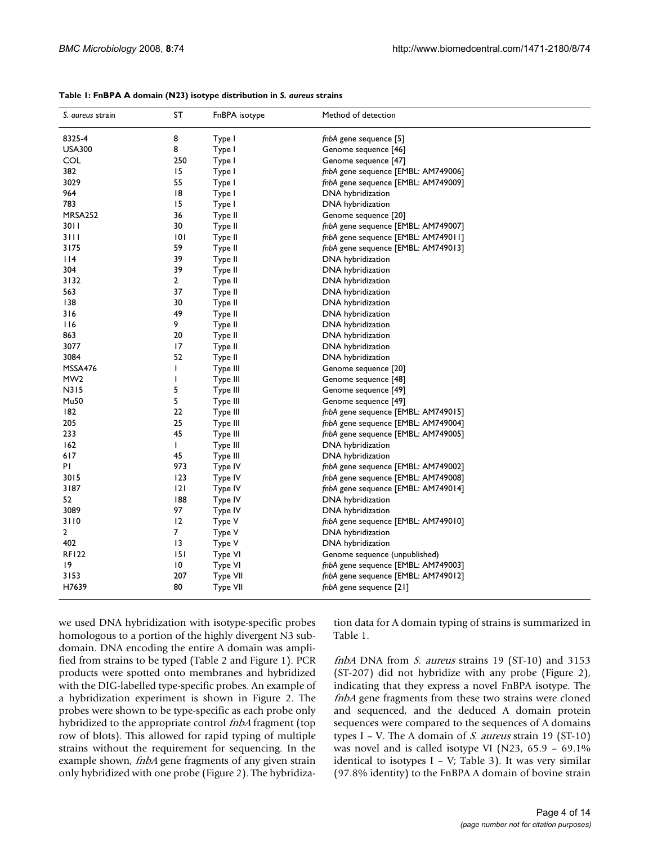| S. aureus strain | SΤ              | FnBPA isotype | Method of detection                 |  |  |
|------------------|-----------------|---------------|-------------------------------------|--|--|
| 8325-4           | 8               | Type I        | fnbA gene sequence [5]              |  |  |
| <b>USA300</b>    | 8               | Type I        | Genome sequence [46]                |  |  |
| COL              | 250             | Type I        | Genome sequence [47]                |  |  |
| 382              | 15              | Type I        | fnbA gene sequence [EMBL: AM749006] |  |  |
| 3029             | 55              | Type I        | fnbA gene sequence [EMBL: AM749009] |  |  |
| 964              | 18              | Type I        | DNA hybridization                   |  |  |
| 783              | 15              | Type I        | DNA hybridization                   |  |  |
| MRSA252          | 36              | Type II       | Genome sequence [20]                |  |  |
| 30 I I           | 30              | Type II       | fnbA gene sequence [EMBL: AM749007] |  |  |
| 3111             | 0               | Type II       | fnbA gene sequence [EMBL: AM749011] |  |  |
| 3175             | 59              | Type II       | fnbA gene sequence [EMBL: AM749013] |  |  |
| 4                | 39              | Type II       | DNA hybridization                   |  |  |
| 304              | 39              | Type II       | DNA hybridization                   |  |  |
| 3132             | 2               | Type II       | DNA hybridization                   |  |  |
| 563              | 37              | Type II       | DNA hybridization                   |  |  |
| 138              | 30              | Type II       | DNA hybridization                   |  |  |
| 316              | 49              | Type II       | DNA hybridization                   |  |  |
| 116              | 9               | Type II       | DNA hybridization                   |  |  |
| 863              | 20              | Type II       | DNA hybridization                   |  |  |
| 3077             | 17              | Type II       | DNA hybridization                   |  |  |
| 3084             | 52              | Type II       | DNA hybridization                   |  |  |
| MSSA476          | T               | Type III      | Genome sequence [20]                |  |  |
| MW <sub>2</sub>  | T               | Type III      | Genome sequence [48]                |  |  |
| N315             | 5               | Type III      | Genome sequence [49]                |  |  |
| Mu50             | 5               | Type III      | Genome sequence [49]                |  |  |
| 182              | 22              | Type III      | fnbA gene sequence [EMBL: AM749015] |  |  |
| 205              | 25              | Type III      | fnbA gene sequence [EMBL: AM749004] |  |  |
| 233              | 45              | Type III      | fnbA gene sequence [EMBL: AM749005] |  |  |
| 162              | L               | Type III      | DNA hybridization                   |  |  |
| 617              | 45              | Type III      | DNA hybridization                   |  |  |
| PI.              | 973             | Type IV       | fnbA gene sequence [EMBL: AM749002] |  |  |
| 3015             | 123             | Type IV       | fnbA gene sequence [EMBL: AM749008] |  |  |
| 3187             | 2               | Type IV       | fnbA gene sequence [EMBL: AM749014] |  |  |
| 52               | 188             | Type IV       | DNA hybridization                   |  |  |
| 3089             | 97              | Type IV       | DNA hybridization                   |  |  |
| 3110             | 12              | Type V        | fnbA gene sequence [EMBL: AM749010] |  |  |
| $\overline{2}$   | $\overline{7}$  | Type V        | DNA hybridization                   |  |  |
| 402              | 13              | Type V        | DNA hybridization                   |  |  |
| <b>RF122</b>     | 151             | Type VI       | Genome sequence (unpublished)       |  |  |
| 19               | $\overline{10}$ | Type VI       | fnbA gene sequence [EMBL: AM749003] |  |  |
| 3153             | 207             | Type VII      | fnbA gene sequence [EMBL: AM749012] |  |  |
| H7639            | 80              | Type VII      | fnbA gene sequence [21]             |  |  |
|                  |                 |               |                                     |  |  |

**Table 1: FnBPA A domain (N23) isotype distribution in** *S. aureus* **strains**

we used DNA hybridization with isotype-specific probes homologous to a portion of the highly divergent N3 subdomain. DNA encoding the entire A domain was amplified from strains to be typed (Table 2 and Figure 1). PCR products were spotted onto membranes and hybridized with the DIG-labelled type-specific probes. An example of a hybridization experiment is shown in Figure 2. The probes were shown to be type-specific as each probe only hybridized to the appropriate control *fnbA* fragment (top row of blots). This allowed for rapid typing of multiple strains without the requirement for sequencing. In the example shown, *fnbA* gene fragments of any given strain only hybridized with one probe (Figure 2). The hybridization data for A domain typing of strains is summarized in Table 1.

fnbA DNA from  $S$ . aureus strains 19 (ST-10) and 3153 (ST-207) did not hybridize with any probe (Figure 2), indicating that they express a novel FnBPA isotype. The fnbA gene fragments from these two strains were cloned and sequenced, and the deduced A domain protein sequences were compared to the sequences of A domains types I – V. The A domain of S. aureus strain 19 (ST-10) was novel and is called isotype VI (N23, 65.9 – 69.1% identical to isotypes  $I - V$ ; Table 3). It was very similar (97.8% identity) to the FnBPA A domain of bovine strain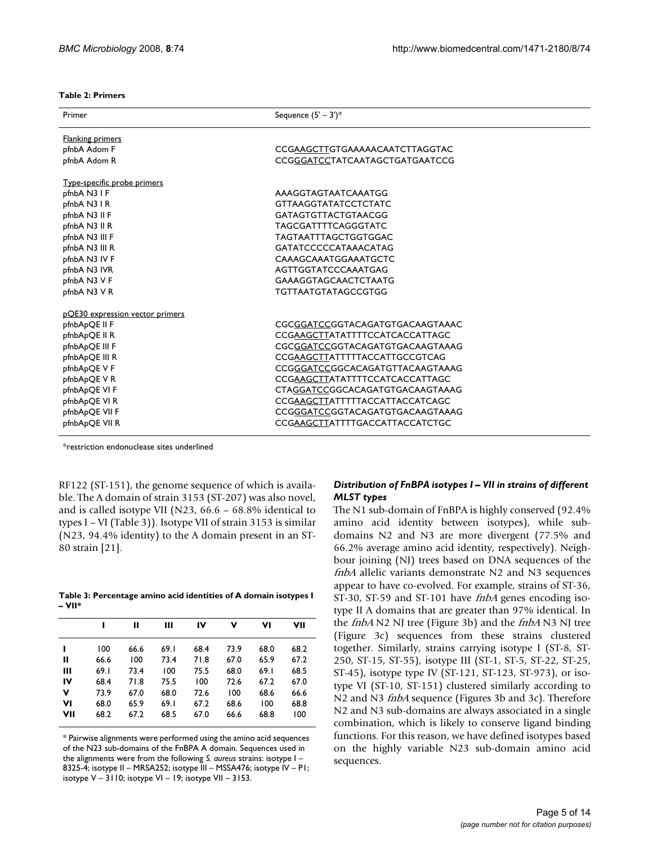### **Table 2: Primers**

| Primer                          | Sequence $(5' - 3')^*$          |  |  |  |  |
|---------------------------------|---------------------------------|--|--|--|--|
| <b>Flanking primers</b>         |                                 |  |  |  |  |
| pfnbA Adom F                    | CCGAAGCTTGTGAAAAACAATCTTAGGTAC  |  |  |  |  |
| pfnbA Adom R                    | CCGGGATCCTATCAATAGCTGATGAATCCG  |  |  |  |  |
| Type-specific probe primers     |                                 |  |  |  |  |
| pfnbA N3 I F                    | AAAGGTAGTAATCAAATGG             |  |  |  |  |
| pfnbA N3 IR                     | <b>GTTAAGGTATATCCTCTATC</b>     |  |  |  |  |
| pfnbA N3 II F                   | <b>GATAGTGTTACTGTAACGG</b>      |  |  |  |  |
| pfnbA N3 II R                   | TAGCGATTTTCAGGGTATC             |  |  |  |  |
| pfnbA N3 III F                  | TAGTAATTTAGCTGGTGGAC            |  |  |  |  |
| pfnbA N3 III R                  | GATATCCCCCATAAACATAG            |  |  |  |  |
| pfnbA N3 IV F                   | CAAAGCAAATGGAAATGCTC            |  |  |  |  |
| pfnbA N3 IVR                    | AGTTGGTATCCCAAATGAG             |  |  |  |  |
| pfnbA N3 V F                    | GAAAGGTAGCAACTCTAATG            |  |  |  |  |
| pfnbA N3 V R                    | TGTTAATGTATAGCCGTGG             |  |  |  |  |
| pQE30 expression vector primers |                                 |  |  |  |  |
| pfnbApQE II F                   | CGCGGATCCGGTACAGATGTGACAAGTAAAC |  |  |  |  |
| pfnbApQE II R                   | CCGAAGCTTATATTTTCCATCACCATTAGC  |  |  |  |  |
| pfnbApQE III F                  | CGCGGATCCGGTACAGATGTGACAAGTAAAG |  |  |  |  |
| pfnbApQE III R                  | CCGAAGCTTATTTTTACCATTGCCGTCAG   |  |  |  |  |
| pfnbApQE V F                    | CCGGGATCCGGCACAGATGTTACAAGTAAAG |  |  |  |  |
| pfnbApQE VR                     | CCGAAGCTTATATTTTCCATCACCATTAGC  |  |  |  |  |
| pfnbApQE VI F                   | CTAGGATCCGGCACAGATGTGACAAGTAAAG |  |  |  |  |
| pfnbApQE VI R                   | CCGAAGCTTATTTTTACCATTACCATCAGC  |  |  |  |  |
| pfnbApQE VII F                  | CCGGGATCCGGTACAGATGTGACAAGTAAAG |  |  |  |  |
| pfnbApQE VII R                  | CCGAAGCTTATTTTGACCATTACCATCTGC  |  |  |  |  |

\*restriction endonuclease sites underlined

RF122 (ST-151), the genome sequence of which is available. The A domain of strain 3153 (ST-207) was also novel, and is called isotype VII (N23, 66.6 – 68.8% identical to types I – VI (Table 3)). Isotype VII of strain 3153 is similar (N23, 94.4% identity) to the A domain present in an ST-80 strain [21].

**Table 3: Percentage amino acid identities of A domain isotypes I – VII\***

|     |       | н    | Ш    | IV   | ν    | ۷ı   | VII  |
|-----|-------|------|------|------|------|------|------|
|     | 100   | 66.6 | 69.1 | 68.4 | 73.9 | 68.0 | 68.2 |
| н   | 66.6  | 100  | 73.4 | 71.8 | 67.0 | 65.9 | 67.2 |
| Ш   | 69. I | 73.4 | 100  | 75.5 | 68.0 | 69.1 | 68.5 |
| IV  | 68.4  | 71.8 | 75.5 | 100  | 72.6 | 67.2 | 67.0 |
| v   | 73.9  | 67.0 | 68.0 | 72.6 | 100  | 68.6 | 66.6 |
| VI  | 68.0  | 65.9 | 69.1 | 67.2 | 68.6 | 100  | 68.8 |
| VII | 68.2  | 67.2 | 68.5 | 67.0 | 66.6 | 68.8 | 100  |

\* Pairwise alignments were performed using the amino acid sequences of the N23 sub-domains of the FnBPA A domain. Sequences used in the alignments were from the following *S. aureus* strains: isotype I – 8325-4; isotype II – MRSA252; isotype III – MSSA476; isotype IV – P1; isotype V – 3110; isotype VI – 19; isotype VII – 3153.

### *Distribution of FnBPA isotypes I – VII in strains of different MLST types*

The N1 sub-domain of FnBPA is highly conserved (92.4% amino acid identity between isotypes), while subdomains N2 and N3 are more divergent (77.5% and 66.2% average amino acid identity, respectively). Neighbour joining (NJ) trees based on DNA sequences of the fnbA allelic variants demonstrate N2 and N3 sequences appear to have co-evolved. For example, strains of ST-36, ST-30, ST-59 and ST-101 have *fnbA* genes encoding isotype II A domains that are greater than 97% identical. In the *fnbA* N2 NJ tree (Figure 3b) and the *fnbA* N3 NJ tree (Figure 3c) sequences from these strains clustered together. Similarly, strains carrying isotype I (ST-8, ST-250, ST-15, ST-55), isotype III (ST-1, ST-5, ST-22, ST-25, ST-45), isotype type IV (ST-121, ST-123, ST-973), or isotype VI (ST-10, ST-151) clustered similarly according to N2 and N3 *fnbA* sequence (Figures 3b and 3c). Therefore N2 and N3 sub-domains are always associated in a single combination, which is likely to conserve ligand binding functions. For this reason, we have defined isotypes based on the highly variable N23 sub-domain amino acid sequences.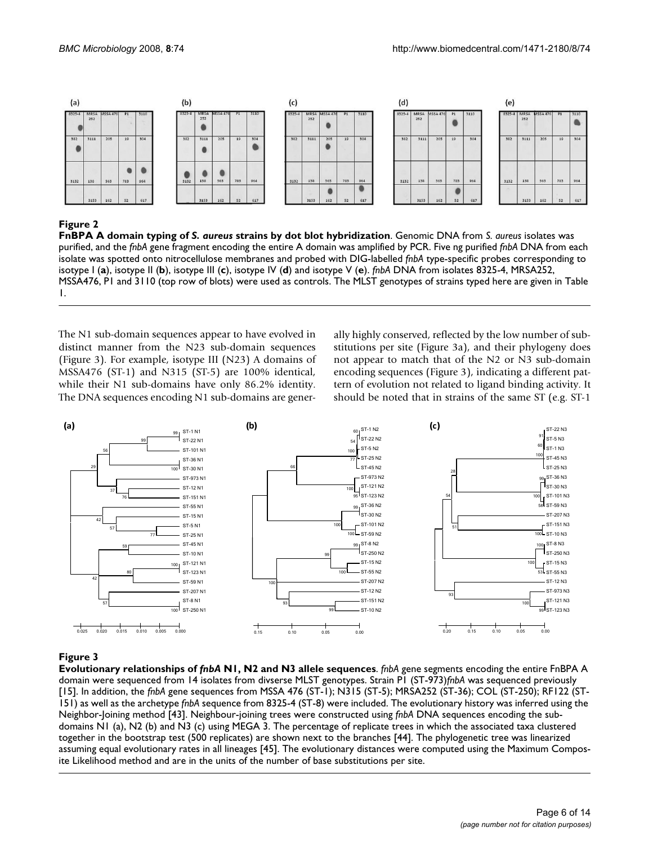![](_page_5_Figure_2.jpeg)

### Figure 2

**FnBPA A domain typing of** *S. aureus* **strains by dot blot hybridization**. Genomic DNA from *S. aureus* isolates was purified, and the *fnbA* gene fragment encoding the entire A domain was amplified by PCR. Five ng purified *fnbA* DNA from each isolate was spotted onto nitrocellulose membranes and probed with DIG-labelled *fnbA* type-specific probes corresponding to isotype I (**a**), isotype II (**b**), isotype III (**c**), isotype IV (**d**) and isotype V (**e**). *fnbA* DNA from isolates 8325-4, MRSA252, MSSA476, P1 and 3110 (top row of blots) were used as controls. The MLST genotypes of strains typed here are given in Table 1.

The N1 sub-domain sequences appear to have evolved in distinct manner from the N23 sub-domain sequences (Figure 3). For example, isotype III (N23) A domains of MSSA476 (ST-1) and N315 (ST-5) are 100% identical, while their N1 sub-domains have only 86.2% identity. The DNA sequences encoding N1 sub-domains are generally highly conserved, reflected by the low number of substitutions per site (Figure 3a), and their phylogeny does not appear to match that of the N2 or N3 sub-domain encoding sequences (Figure 3), indicating a different pattern of evolution not related to ligand binding activity. It should be noted that in strains of the same ST (e.g. ST-1

![](_page_5_Figure_7.jpeg)

### **Figure 3**

**Evolutionary relationships of** *fnbA* **N1, N2 and N3 allele sequences**. *fnbA* gene segments encoding the entire FnBPA A domain were sequenced from 14 isolates from divserse MLST genotypes. Strain P1 (ST-973)*fnbA* was sequenced previously [15]. In addition, the *fnbA* gene sequences from MSSA 476 (ST-1); N315 (ST-5); MRSA252 (ST-36); COL (ST-250); RF122 (ST-151) as well as the archetype *fnbA* sequence from 8325-4 (ST-8) were included. The evolutionary history was inferred using the Neighbor-Joining method [43]. Neighbour-joining trees were constructed using *fnbA* DNA sequences encoding the subdomains N1 (a), N2 (b) and N3 (c) using MEGA 3. The percentage of replicate trees in which the associated taxa clustered together in the bootstrap test (500 replicates) are shown next to the branches [44]. The phylogenetic tree was linearized assuming equal evolutionary rates in all lineages [45]. The evolutionary distances were computed using the Maximum Composite Likelihood method and are in the units of the number of base substitutions per site.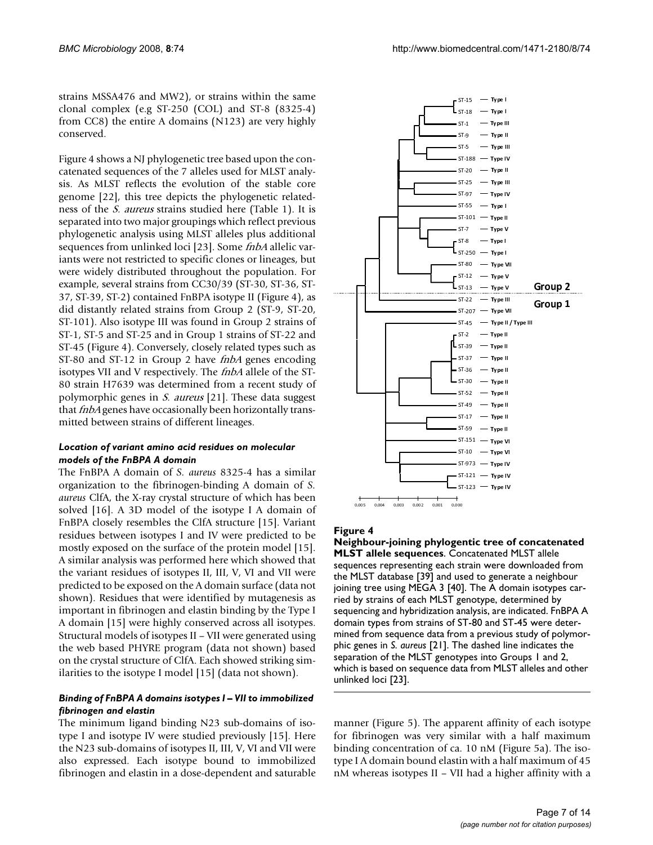strains MSSA476 and MW2), or strains within the same clonal complex (e.g ST-250 (COL) and ST-8 (8325-4) from CC8) the entire A domains (N123) are very highly conserved.

Figure 4 shows a NJ phylogenetic tree based upon the concatenated sequences of the 7 alleles used for MLST analysis. As MLST reflects the evolution of the stable core genome [22], this tree depicts the phylogenetic relatedness of the S. aureus strains studied here (Table 1). It is separated into two major groupings which reflect previous phylogenetic analysis using MLST alleles plus additional sequences from unlinked loci [23]. Some *fnbA* allelic variants were not restricted to specific clones or lineages, but were widely distributed throughout the population. For example, several strains from CC30/39 (ST-30, ST-36, ST-37, ST-39, ST-2) contained FnBPA isotype II (Figure 4), as did distantly related strains from Group 2 (ST-9, ST-20, ST-101). Also isotype III was found in Group 2 strains of ST-1, ST-5 and ST-25 and in Group 1 strains of ST-22 and ST-45 (Figure 4). Conversely, closely related types such as ST-80 and ST-12 in Group 2 have *fnbA* genes encoding isotypes VII and V respectively. The *fnbA* allele of the ST-80 strain H7639 was determined from a recent study of polymorphic genes in S. aureus [21]. These data suggest that *fnbA* genes have occasionally been horizontally transmitted between strains of different lineages.

### *Location of variant amino acid residues on molecular models of the FnBPA A domain*

The FnBPA A domain of *S. aureus* 8325-4 has a similar organization to the fibrinogen-binding A domain of *S. aureus* ClfA, the X-ray crystal structure of which has been solved [16]. A 3D model of the isotype I A domain of FnBPA closely resembles the ClfA structure [15]. Variant residues between isotypes I and IV were predicted to be mostly exposed on the surface of the protein model [15]. A similar analysis was performed here which showed that the variant residues of isotypes II, III, V, VI and VII were predicted to be exposed on the A domain surface (data not shown). Residues that were identified by mutagenesis as important in fibrinogen and elastin binding by the Type I A domain [15] were highly conserved across all isotypes. Structural models of isotypes II – VII were generated using the web based PHYRE program (data not shown) based on the crystal structure of ClfA. Each showed striking similarities to the isotype I model [15] (data not shown).

### *Binding of FnBPA A domains isotypes I – VII to immobilized fibrinogen and elastin*

The minimum ligand binding N23 sub-domains of isotype I and isotype IV were studied previously [15]. Here the N23 sub-domains of isotypes II, III, V, VI and VII were also expressed. Each isotype bound to immobilized fibrinogen and elastin in a dose-dependent and saturable

![](_page_6_Figure_8.jpeg)

### Figure 4

**Neighbour-joining phylogentic tree of concatenated MLST allele sequences**. Concatenated MLST allele sequences representing each strain were downloaded from the MLST database [39] and used to generate a neighbour joining tree using MEGA 3 [40]. The A domain isotypes carried by strains of each MLST genotype, determined by sequencing and hybridization analysis, are indicated. FnBPA A domain types from strains of ST-80 and ST-45 were determined from sequence data from a previous study of polymorphic genes in *S. aureus* [21]. The dashed line indicates the separation of the MLST genotypes into Groups 1 and 2, which is based on sequence data from MLST alleles and other unlinked loci [23].

manner (Figure 5). The apparent affinity of each isotype for fibrinogen was very similar with a half maximum binding concentration of ca. 10 nM (Figure 5a). The isotype I A domain bound elastin with a half maximum of 45 nM whereas isotypes II – VII had a higher affinity with a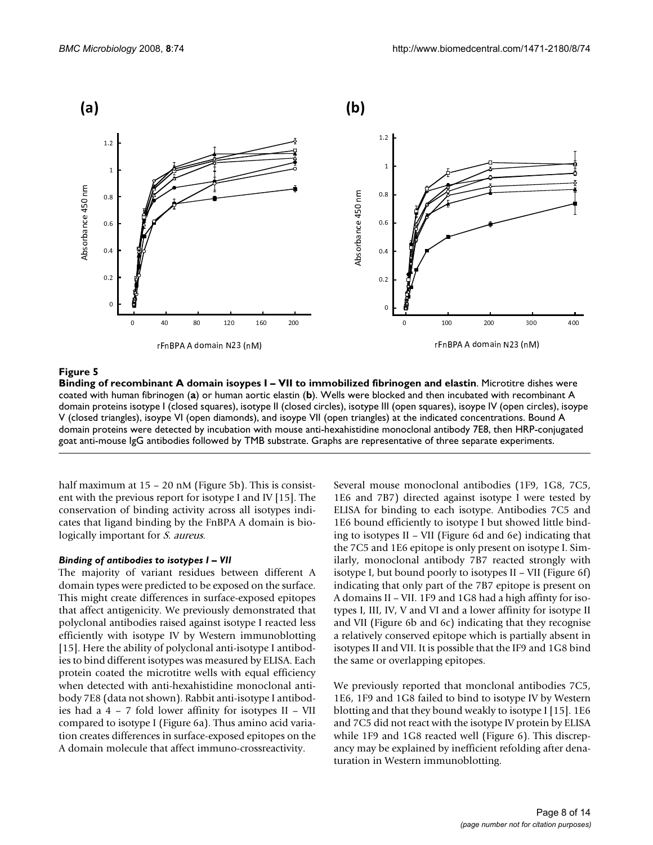![](_page_7_Figure_2.jpeg)

### Binding of recombinant A domain isoypes I – VII to immobilized fibrinogen and elastin **Figure 5**

**Binding of recombinant A domain isoypes I – VII to immobilized fibrinogen and elastin**. Microtitre dishes were coated with human fibrinogen (**a**) or human aortic elastin (**b**). Wells were blocked and then incubated with recombinant A domain proteins isotype I (closed squares), isotype II (closed circles), isotype III (open squares), isoype IV (open circles), isoype V (closed triangles), isoype VI (open diamonds), and isoype VII (open triangles) at the indicated concentrations. Bound A domain proteins were detected by incubation with mouse anti-hexahistidine monoclonal antibody 7E8, then HRP-conjugated goat anti-mouse IgG antibodies followed by TMB substrate. Graphs are representative of three separate experiments.

half maximum at 15 – 20 nM (Figure 5b). This is consistent with the previous report for isotype I and IV [15]. The conservation of binding activity across all isotypes indicates that ligand binding by the FnBPA A domain is biologically important for *S. aureus*.

### *Binding of antibodies to isotypes I – VII*

The majority of variant residues between different A domain types were predicted to be exposed on the surface. This might create differences in surface-exposed epitopes that affect antigenicity. We previously demonstrated that polyclonal antibodies raised against isotype I reacted less efficiently with isotype IV by Western immunoblotting [15]. Here the ability of polyclonal anti-isotype I antibodies to bind different isotypes was measured by ELISA. Each protein coated the microtitre wells with equal efficiency when detected with anti-hexahistidine monoclonal antibody 7E8 (data not shown). Rabbit anti-isotype I antibodies had a 4 – 7 fold lower affinity for isotypes II – VII compared to isotype I (Figure 6a). Thus amino acid variation creates differences in surface-exposed epitopes on the A domain molecule that affect immuno-crossreactivity.

Several mouse monoclonal antibodies (1F9, 1G8, 7C5, 1E6 and 7B7) directed against isotype I were tested by ELISA for binding to each isotype. Antibodies 7C5 and 1E6 bound efficiently to isotype I but showed little binding to isotypes II – VII (Figure 6d and 6e) indicating that the 7C5 and 1E6 epitope is only present on isotype I. Similarly, monoclonal antibody 7B7 reacted strongly with isotype I, but bound poorly to isotypes II – VII (Figure 6f) indicating that only part of the 7B7 epitope is present on A domains II – VII. 1F9 and 1G8 had a high affinty for isotypes I, III, IV, V and VI and a lower affinity for isotype II and VII (Figure 6b and 6c) indicating that they recognise a relatively conserved epitope which is partially absent in isotypes II and VII. It is possible that the IF9 and 1G8 bind the same or overlapping epitopes.

We previously reported that monclonal antibodies 7C5, 1E6, 1F9 and 1G8 failed to bind to isotype IV by Western blotting and that they bound weakly to isotype I [15]. 1E6 and 7C5 did not react with the isotype IV protein by ELISA while 1F9 and 1G8 reacted well (Figure 6). This discrepancy may be explained by inefficient refolding after denaturation in Western immunoblotting.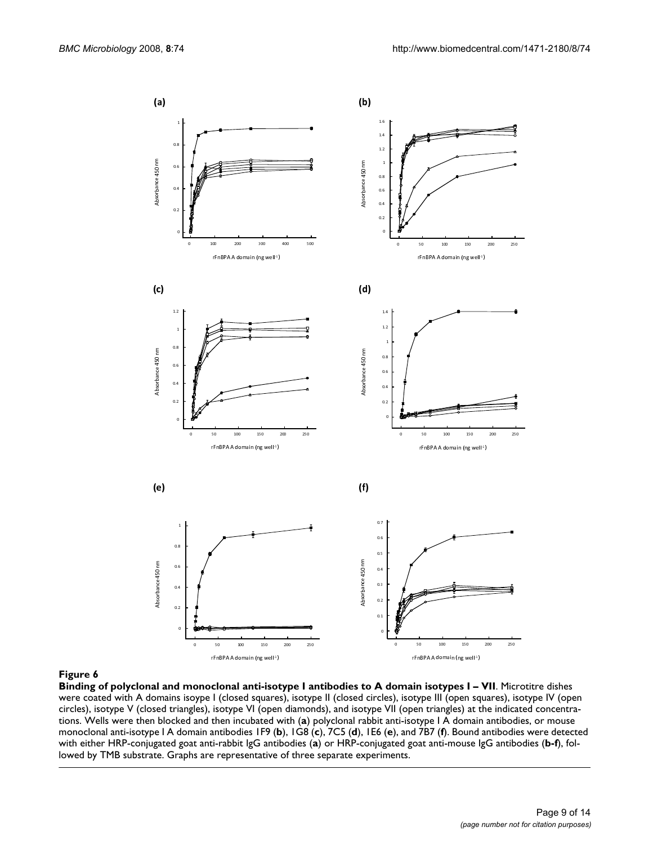![](_page_8_Figure_2.jpeg)

**Binding of polyclonal and monoclonal anti-isotype I antibodies to A domain isotypes I – VII**. Microtitre dishes were coated with A domains isoype I (closed squares), isotype II (closed circles), isotype III (open squares), isotype IV (open circles), isotype V (closed triangles), isotype VI (open diamonds), and isotype VII (open triangles) at the indicated concentrations. Wells were then blocked and then incubated with (**a**) polyclonal rabbit anti-isotype I A domain antibodies, or mouse monoclonal anti-isotype I A domain antibodies 1F9 (**b**), 1G8 (**c**), 7C5 (**d**), 1E6 (**e**), and 7B7 (**f**). Bound antibodies were detected with either HRP-conjugated goat anti-rabbit IgG antibodies (**a**) or HRP-conjugated goat anti-mouse IgG antibodies (**b-f**), followed by TMB substrate. Graphs are representative of three separate experiments.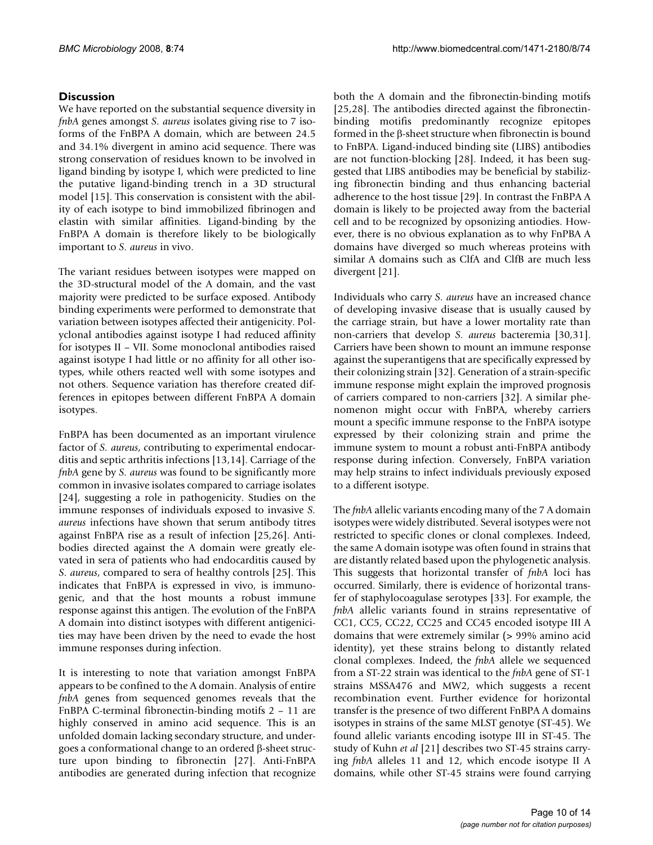### **Discussion**

We have reported on the substantial sequence diversity in *fnbA* genes amongst *S. aureus* isolates giving rise to 7 isoforms of the FnBPA A domain, which are between 24.5 and 34.1% divergent in amino acid sequence. There was strong conservation of residues known to be involved in ligand binding by isotype I, which were predicted to line the putative ligand-binding trench in a 3D structural model [15]. This conservation is consistent with the ability of each isotype to bind immobilized fibrinogen and elastin with similar affinities. Ligand-binding by the FnBPA A domain is therefore likely to be biologically important to *S. aureus* in vivo.

The variant residues between isotypes were mapped on the 3D-structural model of the A domain, and the vast majority were predicted to be surface exposed. Antibody binding experiments were performed to demonstrate that variation between isotypes affected their antigenicity. Polyclonal antibodies against isotype I had reduced affinity for isotypes II – VII. Some monoclonal antibodies raised against isotype I had little or no affinity for all other isotypes, while others reacted well with some isotypes and not others. Sequence variation has therefore created differences in epitopes between different FnBPA A domain isotypes.

FnBPA has been documented as an important virulence factor of *S. aureus*, contributing to experimental endocarditis and septic arthritis infections [13,14]. Carriage of the *fnbA* gene by *S. aureus* was found to be significantly more common in invasive isolates compared to carriage isolates [24], suggesting a role in pathogenicity. Studies on the immune responses of individuals exposed to invasive *S. aureus* infections have shown that serum antibody titres against FnBPA rise as a result of infection [25,26]. Antibodies directed against the A domain were greatly elevated in sera of patients who had endocarditis caused by *S. aureus*, compared to sera of healthy controls [25]. This indicates that FnBPA is expressed in vivo, is immunogenic, and that the host mounts a robust immune response against this antigen. The evolution of the FnBPA A domain into distinct isotypes with different antigenicities may have been driven by the need to evade the host immune responses during infection.

It is interesting to note that variation amongst FnBPA appears to be confined to the A domain. Analysis of entire *fnbA* genes from sequenced genomes reveals that the FnBPA C-terminal fibronectin-binding motifs 2 – 11 are highly conserved in amino acid sequence. This is an unfolded domain lacking secondary structure, and undergoes a conformational change to an ordered β-sheet structure upon binding to fibronectin [27]. Anti-FnBPA antibodies are generated during infection that recognize both the A domain and the fibronectin-binding motifs [25,28]. The antibodies directed against the fibronectinbinding motifis predominantly recognize epitopes formed in the β-sheet structure when fibronectin is bound to FnBPA. Ligand-induced binding site (LIBS) antibodies are not function-blocking [28]. Indeed, it has been suggested that LIBS antibodies may be beneficial by stabilizing fibronectin binding and thus enhancing bacterial adherence to the host tissue [29]. In contrast the FnBPA A domain is likely to be projected away from the bacterial cell and to be recognized by opsonizing antiodies. However, there is no obvious explanation as to why FnPBA A domains have diverged so much whereas proteins with similar A domains such as ClfA and ClfB are much less divergent [21].

Individuals who carry *S. aureus* have an increased chance of developing invasive disease that is usually caused by the carriage strain, but have a lower mortality rate than non-carriers that develop *S. aureus* bacteremia [30,31]. Carriers have been shown to mount an immune response against the superantigens that are specifically expressed by their colonizing strain [32]. Generation of a strain-specific immune response might explain the improved prognosis of carriers compared to non-carriers [32]. A similar phenomenon might occur with FnBPA, whereby carriers mount a specific immune response to the FnBPA isotype expressed by their colonizing strain and prime the immune system to mount a robust anti-FnBPA antibody response during infection. Conversely, FnBPA variation may help strains to infect individuals previously exposed to a different isotype.

The *fnbA* allelic variants encoding many of the 7 A domain isotypes were widely distributed. Several isotypes were not restricted to specific clones or clonal complexes. Indeed, the same A domain isotype was often found in strains that are distantly related based upon the phylogenetic analysis. This suggests that horizontal transfer of *fnbA* loci has occurred. Similarly, there is evidence of horizontal transfer of staphylocoagulase serotypes [33]. For example, the *fnbA* allelic variants found in strains representative of CC1, CC5, CC22, CC25 and CC45 encoded isotype III A domains that were extremely similar (> 99% amino acid identity), yet these strains belong to distantly related clonal complexes. Indeed, the *fnbA* allele we sequenced from a ST-22 strain was identical to the *fnbA* gene of ST-1 strains MSSA476 and MW2, which suggests a recent recombination event. Further evidence for horizontal transfer is the presence of two different FnBPA A domains isotypes in strains of the same MLST genotye (ST-45). We found allelic variants encoding isotype III in ST-45. The study of Kuhn *et al* [21] describes two ST-45 strains carrying *fnbA* alleles 11 and 12, which encode isotype II A domains, while other ST-45 strains were found carrying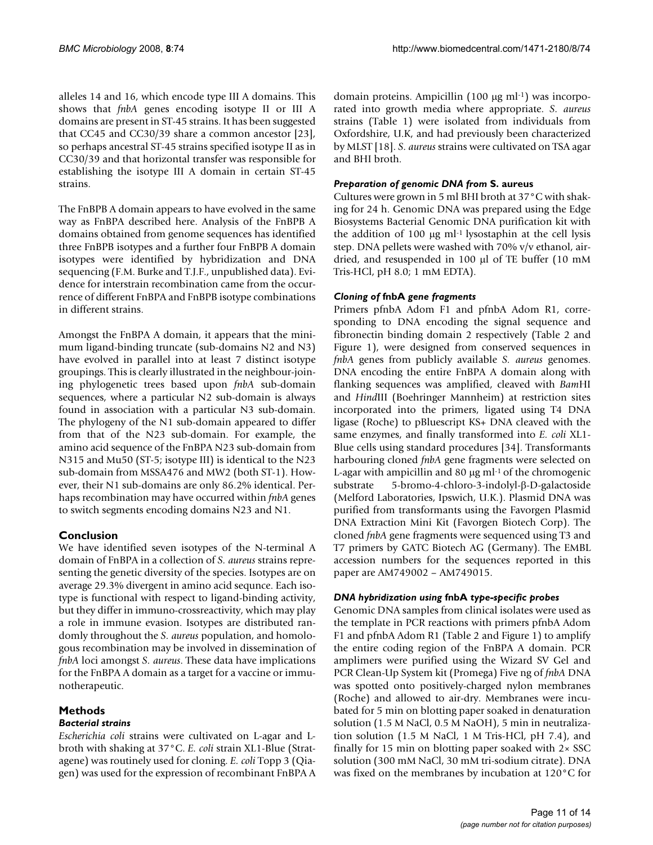alleles 14 and 16, which encode type III A domains. This shows that *fnbA* genes encoding isotype II or III A domains are present in ST-45 strains. It has been suggested that CC45 and CC30/39 share a common ancestor [23], so perhaps ancestral ST-45 strains specified isotype II as in CC30/39 and that horizontal transfer was responsible for establishing the isotype III A domain in certain ST-45 strains.

The FnBPB A domain appears to have evolved in the same way as FnBPA described here. Analysis of the FnBPB A domains obtained from genome sequences has identified three FnBPB isotypes and a further four FnBPB A domain isotypes were identified by hybridization and DNA sequencing (F.M. Burke and T.J.F., unpublished data). Evidence for interstrain recombination came from the occurrence of different FnBPA and FnBPB isotype combinations in different strains.

Amongst the FnBPA A domain, it appears that the minimum ligand-binding truncate (sub-domains N2 and N3) have evolved in parallel into at least 7 distinct isotype groupings. This is clearly illustrated in the neighbour-joining phylogenetic trees based upon *fnbA* sub-domain sequences, where a particular N2 sub-domain is always found in association with a particular N3 sub-domain. The phylogeny of the N1 sub-domain appeared to differ from that of the N23 sub-domain. For example, the amino acid sequence of the FnBPA N23 sub-domain from N315 and Mu50 (ST-5; isotype III) is identical to the N23 sub-domain from MSSA476 and MW2 (both ST-1). However, their N1 sub-domains are only 86.2% identical. Perhaps recombination may have occurred within *fnbA* genes to switch segments encoding domains N23 and N1.

### **Conclusion**

We have identified seven isotypes of the N-terminal A domain of FnBPA in a collection of *S. aureus* strains representing the genetic diversity of the species. Isotypes are on average 29.3% divergent in amino acid sequnce. Each isotype is functional with respect to ligand-binding activity, but they differ in immuno-crossreactivity, which may play a role in immune evasion. Isotypes are distributed randomly throughout the *S. aureus* population, and homologous recombination may be involved in dissemination of *fnbA* loci amongst *S. aureus*. These data have implications for the FnBPA A domain as a target for a vaccine or immunotherapeutic.

### **Methods**

### *Bacterial strains*

*Escherichia coli* strains were cultivated on L-agar and Lbroth with shaking at 37°C. *E. coli* strain XL1-Blue (Stratagene) was routinely used for cloning. *E. coli* Topp 3 (Qiagen) was used for the expression of recombinant FnBPA A domain proteins. Ampicillin (100 μg ml-1) was incorporated into growth media where appropriate. *S. aureus* strains (Table 1) were isolated from individuals from Oxfordshire, U.K, and had previously been characterized by MLST [18]. *S. aureus* strains were cultivated on TSA agar and BHI broth.

### *Preparation of genomic DNA from* **S. aureus**

Cultures were grown in 5 ml BHI broth at 37°C with shaking for 24 h. Genomic DNA was prepared using the Edge Biosystems Bacterial Genomic DNA purification kit with the addition of 100 μg ml-1 lysostaphin at the cell lysis step. DNA pellets were washed with 70% v/v ethanol, airdried, and resuspended in 100 μl of TE buffer (10 mM Tris-HCl, pH 8.0; 1 mM EDTA).

### *Cloning of* **fnbA** *gene fragments*

Primers pfnbA Adom F1 and pfnbA Adom R1, corresponding to DNA encoding the signal sequence and fibronectin binding domain 2 respectively (Table 2 and Figure 1), were designed from conserved sequences in *fnbA* genes from publicly available *S. aureus* genomes. DNA encoding the entire FnBPA A domain along with flanking sequences was amplified, cleaved with *Bam*HI and *Hind*III (Boehringer Mannheim) at restriction sites incorporated into the primers, ligated using T4 DNA ligase (Roche) to pBluescript KS+ DNA cleaved with the same enzymes, and finally transformed into *E. coli* XL1- Blue cells using standard procedures [34]. Transformants harbouring cloned *fnbA* gene fragments were selected on L-agar with ampicillin and 80  $\mu$ g ml $^{-1}$  of the chromogenic substrate 5-bromo-4-chloro-3-indolyl-β-D-galactoside (Melford Laboratories, Ipswich, U.K.). Plasmid DNA was purified from transformants using the Favorgen Plasmid DNA Extraction Mini Kit (Favorgen Biotech Corp). The cloned *fnbA* gene fragments were sequenced using T3 and T7 primers by GATC Biotech AG (Germany). The EMBL accession numbers for the sequences reported in this paper are AM749002 – AM749015.

### *DNA hybridization using* **fnbA** *type-specific probes*

Genomic DNA samples from clinical isolates were used as the template in PCR reactions with primers pfnbA Adom F1 and pfnbA Adom R1 (Table 2 and Figure 1) to amplify the entire coding region of the FnBPA A domain. PCR amplimers were purified using the Wizard SV Gel and PCR Clean-Up System kit (Promega) Five ng of *fnbA* DNA was spotted onto positively-charged nylon membranes (Roche) and allowed to air-dry. Membranes were incubated for 5 min on blotting paper soaked in denaturation solution (1.5 M NaCl, 0.5 M NaOH), 5 min in neutralization solution (1.5 M NaCl, 1 M Tris-HCl, pH 7.4), and finally for 15 min on blotting paper soaked with  $2 \times$  SSC solution (300 mM NaCl, 30 mM tri-sodium citrate). DNA was fixed on the membranes by incubation at 120°C for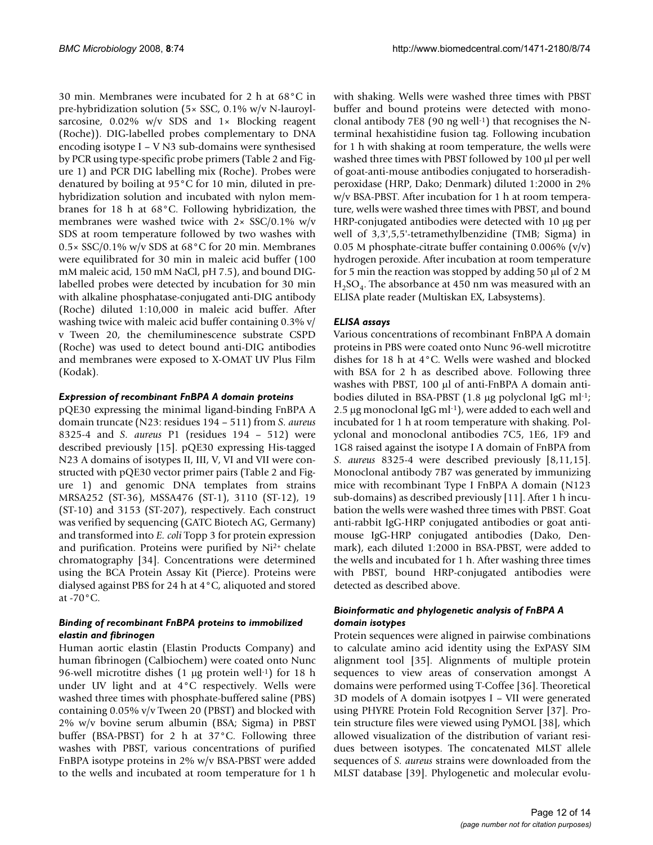30 min. Membranes were incubated for 2 h at 68°C in pre-hybridization solution (5× SSC, 0.1% w/v N-lauroylsarcosine,  $0.02\%$  w/v SDS and  $1 \times$  Blocking reagent (Roche)). DIG-labelled probes complementary to DNA encoding isotype I – V N3 sub-domains were synthesised by PCR using type-specific probe primers (Table 2 and Figure 1) and PCR DIG labelling mix (Roche). Probes were denatured by boiling at 95°C for 10 min, diluted in prehybridization solution and incubated with nylon membranes for 18 h at 68°C. Following hybridization, the membranes were washed twice with  $2 \times$  SSC/0.1% w/v SDS at room temperature followed by two washes with 0.5× SSC/0.1% w/v SDS at 68°C for 20 min. Membranes were equilibrated for 30 min in maleic acid buffer (100 mM maleic acid, 150 mM NaCl, pH 7.5), and bound DIGlabelled probes were detected by incubation for 30 min with alkaline phosphatase-conjugated anti-DIG antibody (Roche) diluted 1:10,000 in maleic acid buffer. After washing twice with maleic acid buffer containing 0.3% v/ v Tween 20, the chemiluminescence substrate CSPD (Roche) was used to detect bound anti-DIG antibodies and membranes were exposed to X-OMAT UV Plus Film (Kodak).

### *Expression of recombinant FnBPA A domain proteins*

pQE30 expressing the minimal ligand-binding FnBPA A domain truncate (N23: residues 194 – 511) from *S. aureus* 8325-4 and *S. aureus* P1 (residues 194 – 512) were described previously [15]. pQE30 expressing His-tagged N23 A domains of isotypes II, III, V, VI and VII were constructed with pQE30 vector primer pairs (Table 2 and Figure 1) and genomic DNA templates from strains MRSA252 (ST-36), MSSA476 (ST-1), 3110 (ST-12), 19 (ST-10) and 3153 (ST-207), respectively. Each construct was verified by sequencing (GATC Biotech AG, Germany) and transformed into *E. coli* Topp 3 for protein expression and purification. Proteins were purified by Ni2+ chelate chromatography [34]. Concentrations were determined using the BCA Protein Assay Kit (Pierce). Proteins were dialysed against PBS for 24 h at 4°C, aliquoted and stored at -70°C.

### *Binding of recombinant FnBPA proteins to immobilized elastin and fibrinogen*

Human aortic elastin (Elastin Products Company) and human fibrinogen (Calbiochem) were coated onto Nunc 96-well microtitre dishes (1 μg protein well-1) for 18 h under UV light and at 4°C respectively. Wells were washed three times with phosphate-buffered saline (PBS) containing 0.05% v/v Tween 20 (PBST) and blocked with 2% w/v bovine serum albumin (BSA; Sigma) in PBST buffer (BSA-PBST) for 2 h at 37°C. Following three washes with PBST, various concentrations of purified FnBPA isotype proteins in 2% w/v BSA-PBST were added to the wells and incubated at room temperature for 1 h

with shaking. Wells were washed three times with PBST buffer and bound proteins were detected with monoclonal antibody 7E8 (90 ng well-1) that recognises the Nterminal hexahistidine fusion tag. Following incubation for 1 h with shaking at room temperature, the wells were washed three times with PBST followed by 100 μl per well of goat-anti-mouse antibodies conjugated to horseradishperoxidase (HRP, Dako; Denmark) diluted 1:2000 in 2% w/v BSA-PBST. After incubation for 1 h at room temperature, wells were washed three times with PBST, and bound HRP-conjugated antibodies were detected with 10 μg per well of 3,3',5,5'-tetramethylbenzidine (TMB; Sigma) in 0.05 M phosphate-citrate buffer containing 0.006%  $(v/v)$ hydrogen peroxide. After incubation at room temperature for 5 min the reaction was stopped by adding 50 μl of 2 M  $H<sub>2</sub>SO<sub>4</sub>$ . The absorbance at 450 nm was measured with an ELISA plate reader (Multiskan EX, Labsystems).

### *ELISA assays*

Various concentrations of recombinant FnBPA A domain proteins in PBS were coated onto Nunc 96-well microtitre dishes for 18 h at 4°C. Wells were washed and blocked with BSA for 2 h as described above. Following three washes with PBST, 100 μl of anti-FnBPA A domain antibodies diluted in BSA-PBST (1.8 μg polyclonal IgG ml<sup>-1</sup>; 2.5 μg monoclonal IgG ml-1), were added to each well and incubated for 1 h at room temperature with shaking. Polyclonal and monoclonal antibodies 7C5, 1E6, 1F9 and 1G8 raised against the isotype I A domain of FnBPA from *S. aureus* 8325-4 were described previously [8,11,15]. Monoclonal antibody 7B7 was generated by immunizing mice with recombinant Type I FnBPA A domain (N123 sub-domains) as described previously [11]. After 1 h incubation the wells were washed three times with PBST. Goat anti-rabbit IgG-HRP conjugated antibodies or goat antimouse IgG-HRP conjugated antibodies (Dako, Denmark), each diluted 1:2000 in BSA-PBST, were added to the wells and incubated for 1 h. After washing three times with PBST, bound HRP-conjugated antibodies were detected as described above.

### *Bioinformatic and phylogenetic analysis of FnBPA A domain isotypes*

Protein sequences were aligned in pairwise combinations to calculate amino acid identity using the ExPASY SIM alignment tool [35]. Alignments of multiple protein sequences to view areas of conservation amongst A domains were performed using T-Coffee [36]. Theoretical 3D models of A domain isotpyes I – VII were generated using PHYRE Protein Fold Recognition Server [37]. Protein structure files were viewed using PyMOL [38], which allowed visualization of the distribution of variant residues between isotypes. The concatenated MLST allele sequences of *S. aureus* strains were downloaded from the MLST database [39]. Phylogenetic and molecular evolu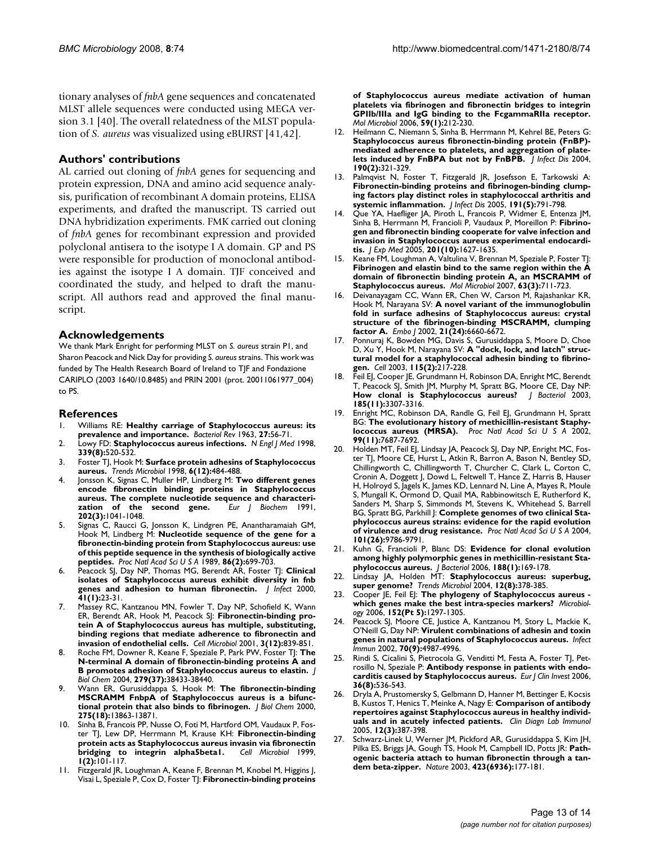tionary analyses of *fnbA* gene sequences and concatenated MLST allele sequences were conducted using MEGA version 3.1 [40]. The overall relatedness of the MLST population of *S. aureus* was visualized using eBURST [41,42].

### **Authors' contributions**

AL carried out cloning of *fnbA* genes for sequencing and protein expression, DNA and amino acid sequence analysis, purification of recombinant A domain proteins, ELISA experiments, and drafted the manuscript. TS carried out DNA hybridization experiments. FMK carried out cloning of *fnbA* genes for recombinant expression and provided polyclonal antisera to the isotype I A domain. GP and PS were responsible for production of monoclonal antibodies against the isotype I A domain. TJF conceived and coordinated the study, and helped to draft the manuscript. All authors read and approved the final manuscript.

### **Acknowledgements**

We thank Mark Enright for performing MLST on *S. aureus* strain P1, and Sharon Peacock and Nick Day for providing *S. aureus* strains. This work was funded by The Health Research Board of Ireland to TJF and Fondazione CARIPLO (2003 1640/10.8485) and PRIN 2001 (prot. 20011061977\_004) to PS.

### **References**

- 1. Williams RE: **[Healthy carriage of Staphylococcus aureus: its](http://www.ncbi.nlm.nih.gov/entrez/query.fcgi?cmd=Retrieve&db=PubMed&dopt=Abstract&list_uids=14000926) [prevalence and importance.](http://www.ncbi.nlm.nih.gov/entrez/query.fcgi?cmd=Retrieve&db=PubMed&dopt=Abstract&list_uids=14000926)** *Bacteriol Rev* 1963, **27:**56-71.
- 2. Lowy FD: **[Staphylococcus aureus infections.](http://www.ncbi.nlm.nih.gov/entrez/query.fcgi?cmd=Retrieve&db=PubMed&dopt=Abstract&list_uids=9709046)** *N Engl J Med* 1998, **339(8):**520-532.
- 3. Foster TJ, Hook M: **[Surface protein adhesins of Staphylococcus](http://www.ncbi.nlm.nih.gov/entrez/query.fcgi?cmd=Retrieve&db=PubMed&dopt=Abstract&list_uids=10036727) [aureus.](http://www.ncbi.nlm.nih.gov/entrez/query.fcgi?cmd=Retrieve&db=PubMed&dopt=Abstract&list_uids=10036727)** *Trends Microbiol* 1998, **6(12):**484-488.
- 4. Jonsson K, Signas C, Muller HP, Lindberg M: **[Two different genes](http://www.ncbi.nlm.nih.gov/entrez/query.fcgi?cmd=Retrieve&db=PubMed&dopt=Abstract&list_uids=1837266) [encode fibronectin binding proteins in Staphylococcus](http://www.ncbi.nlm.nih.gov/entrez/query.fcgi?cmd=Retrieve&db=PubMed&dopt=Abstract&list_uids=1837266) aureus. The complete nucleotide sequence and characteri-<br><b>zation** of the second gene. *Eur* | Biochem |991, [zation of the second gene.](http://www.ncbi.nlm.nih.gov/entrez/query.fcgi?cmd=Retrieve&db=PubMed&dopt=Abstract&list_uids=1837266) **202(3):**1041-1048.
- 5. Signas C, Raucci G, Jonsson K, Lindgren PE, Anantharamaiah GM, Hook M, Lindberg M: **[Nucleotide sequence of the gene for a](http://www.ncbi.nlm.nih.gov/entrez/query.fcgi?cmd=Retrieve&db=PubMed&dopt=Abstract&list_uids=2521391) [fibronectin-binding protein from Staphylococcus aureus: use](http://www.ncbi.nlm.nih.gov/entrez/query.fcgi?cmd=Retrieve&db=PubMed&dopt=Abstract&list_uids=2521391) of this peptide sequence in the synthesis of biologically active [peptides.](http://www.ncbi.nlm.nih.gov/entrez/query.fcgi?cmd=Retrieve&db=PubMed&dopt=Abstract&list_uids=2521391)** *Proc Natl Acad Sci U S A* 1989, **86(2):**699-703.
- 6. Peacock SJ, Day NP, Thomas MG, Berendt AR, Foster TJ: **[Clinical](http://www.ncbi.nlm.nih.gov/entrez/query.fcgi?cmd=Retrieve&db=PubMed&dopt=Abstract&list_uids=10942636) [isolates of Staphylococcus aureus exhibit diversity in fnb](http://www.ncbi.nlm.nih.gov/entrez/query.fcgi?cmd=Retrieve&db=PubMed&dopt=Abstract&list_uids=10942636) [genes and adhesion to human fibronectin.](http://www.ncbi.nlm.nih.gov/entrez/query.fcgi?cmd=Retrieve&db=PubMed&dopt=Abstract&list_uids=10942636)** *J Infect* 2000, **41(1):**23-31.
- 7. Massey RC, Kantzanou MN, Fowler T, Day NP, Schofield K, Wann ER, Berendt AR, Hook M, Peacock SJ: **[Fibronectin-binding pro](http://www.ncbi.nlm.nih.gov/entrez/query.fcgi?cmd=Retrieve&db=PubMed&dopt=Abstract&list_uids=11736995)[tein A of Staphylococcus aureus has multiple, substituting,](http://www.ncbi.nlm.nih.gov/entrez/query.fcgi?cmd=Retrieve&db=PubMed&dopt=Abstract&list_uids=11736995) binding regions that mediate adherence to fibronectin and [invasion of endothelial cells.](http://www.ncbi.nlm.nih.gov/entrez/query.fcgi?cmd=Retrieve&db=PubMed&dopt=Abstract&list_uids=11736995)** *Cell Microbiol* 2001, **3(12):**839-851.
- 8. Roche FM, Downer R, Keane F, Speziale P, Park PW, Foster TJ: **[The](http://www.ncbi.nlm.nih.gov/entrez/query.fcgi?cmd=Retrieve&db=PubMed&dopt=Abstract&list_uids=15234962) [N-terminal A domain of fibronectin-binding proteins A and](http://www.ncbi.nlm.nih.gov/entrez/query.fcgi?cmd=Retrieve&db=PubMed&dopt=Abstract&list_uids=15234962) [B promotes adhesion of Staphylococcus aureus to elastin.](http://www.ncbi.nlm.nih.gov/entrez/query.fcgi?cmd=Retrieve&db=PubMed&dopt=Abstract&list_uids=15234962)** *J Biol Chem* 2004, **279(37):**38433-38440.
- 9. Wann ER, Gurusiddappa S, Hook M: **[The fibronectin-binding](http://www.ncbi.nlm.nih.gov/entrez/query.fcgi?cmd=Retrieve&db=PubMed&dopt=Abstract&list_uids=10788510) [MSCRAMM FnbpA of Staphylococcus aureus is a bifunc](http://www.ncbi.nlm.nih.gov/entrez/query.fcgi?cmd=Retrieve&db=PubMed&dopt=Abstract&list_uids=10788510)[tional protein that also binds to fibrinogen.](http://www.ncbi.nlm.nih.gov/entrez/query.fcgi?cmd=Retrieve&db=PubMed&dopt=Abstract&list_uids=10788510)** *J Biol Chem* 2000, **275(18):**13863-13871.
- 10. Sinha B, Francois PP, Nusse O, Foti M, Hartford OM, Vaudaux P, Foster TJ, Lew DP, Herrmann M, Krause KH: **[Fibronectin-binding](http://www.ncbi.nlm.nih.gov/entrez/query.fcgi?cmd=Retrieve&db=PubMed&dopt=Abstract&list_uids=11207545) [protein acts as Staphylococcus aureus invasin via fibronectin](http://www.ncbi.nlm.nih.gov/entrez/query.fcgi?cmd=Retrieve&db=PubMed&dopt=Abstract&list_uids=11207545) bridging to integrin alpha5betal. 1(2):**101-117.
- 11. Fitzgerald JR, Loughman A, Keane F, Brennan M, Knobel M, Higgins J, Visai L, Speziale P, Cox D, Foster TJ: **[Fibronectin-binding proteins](http://www.ncbi.nlm.nih.gov/entrez/query.fcgi?cmd=Retrieve&db=PubMed&dopt=Abstract&list_uids=16359330)**

**[of Staphylococcus aureus mediate activation of human](http://www.ncbi.nlm.nih.gov/entrez/query.fcgi?cmd=Retrieve&db=PubMed&dopt=Abstract&list_uids=16359330) platelets via fibrinogen and fibronectin bridges to integrin GPIIb/IIIa and IgG binding to the FcgammaRIIa receptor.** *Mol Microbiol* 2006, **59(1):**212-230.

- 12. Heilmann C, Niemann S, Sinha B, Herrmann M, Kehrel BE, Peters G: **[Staphylococcus aureus fibronectin-binding protein \(FnBP\)](http://www.ncbi.nlm.nih.gov/entrez/query.fcgi?cmd=Retrieve&db=PubMed&dopt=Abstract&list_uids=15216468) mediated adherence to platelets, and aggregation of plate[lets induced by FnBPA but not by FnBPB.](http://www.ncbi.nlm.nih.gov/entrez/query.fcgi?cmd=Retrieve&db=PubMed&dopt=Abstract&list_uids=15216468)** *J Infect Dis* 2004, **190(2):**321-329.
- 13. Palmqvist N, Foster T, Fitzgerald JR, Josefsson E, Tarkowski A: **[Fibronectin-binding proteins and fibrinogen-binding clump](http://www.ncbi.nlm.nih.gov/entrez/query.fcgi?cmd=Retrieve&db=PubMed&dopt=Abstract&list_uids=15688297)ing factors play distinct roles in staphylococcal arthritis and [systemic inflammation.](http://www.ncbi.nlm.nih.gov/entrez/query.fcgi?cmd=Retrieve&db=PubMed&dopt=Abstract&list_uids=15688297)** *J Infect Dis* 2005, **191(5):**791-798.
- 14. Que YA, Haefliger JA, Piroth L, Francois P, Widmer E, Entenza JM, Sinha B, Herrmann M, Francioli P, Vaudaux P, Moreillon P: **[Fibrino](http://www.ncbi.nlm.nih.gov/entrez/query.fcgi?cmd=Retrieve&db=PubMed&dopt=Abstract&list_uids=15897276)[gen and fibronectin binding cooperate for valve infection and](http://www.ncbi.nlm.nih.gov/entrez/query.fcgi?cmd=Retrieve&db=PubMed&dopt=Abstract&list_uids=15897276) invasion in Staphylococcus aureus experimental endocardi[tis.](http://www.ncbi.nlm.nih.gov/entrez/query.fcgi?cmd=Retrieve&db=PubMed&dopt=Abstract&list_uids=15897276)** *J Exp Med* 2005, **201(10):**1627-1635.
- 15. Keane FM, Loughman A, Valtulina V, Brennan M, Speziale P, Foster TJ: **[Fibrinogen and elastin bind to the same region within the A](http://www.ncbi.nlm.nih.gov/entrez/query.fcgi?cmd=Retrieve&db=PubMed&dopt=Abstract&list_uids=17302800) domain of fibronectin binding protein A, an MSCRAMM of [Staphylococcus aureus.](http://www.ncbi.nlm.nih.gov/entrez/query.fcgi?cmd=Retrieve&db=PubMed&dopt=Abstract&list_uids=17302800)** *Mol Microbiol* 2007, **63(3):**711-723.
- 16. Deivanayagam CC, Wann ER, Chen W, Carson M, Rajashankar KR, Hook M, Narayana SV: **[A novel variant of the immunoglobulin](http://www.ncbi.nlm.nih.gov/entrez/query.fcgi?cmd=Retrieve&db=PubMed&dopt=Abstract&list_uids=12485987) [fold in surface adhesins of Staphylococcus aureus: crystal](http://www.ncbi.nlm.nih.gov/entrez/query.fcgi?cmd=Retrieve&db=PubMed&dopt=Abstract&list_uids=12485987) structure of the fibrinogen-binding MSCRAMM, clumping [factor A.](http://www.ncbi.nlm.nih.gov/entrez/query.fcgi?cmd=Retrieve&db=PubMed&dopt=Abstract&list_uids=12485987)** *Embo J* 2002, **21(24):**6660-6672.
- 17. Ponnuraj K, Bowden MG, Davis S, Gurusiddappa S, Moore D, Choe D, Xu Y, Hook M, Narayana SV: **[A "dock, lock, and latch" struc](http://www.ncbi.nlm.nih.gov/entrez/query.fcgi?cmd=Retrieve&db=PubMed&dopt=Abstract&list_uids=14567919)[tural model for a staphylococcal adhesin binding to fibrino](http://www.ncbi.nlm.nih.gov/entrez/query.fcgi?cmd=Retrieve&db=PubMed&dopt=Abstract&list_uids=14567919)[gen.](http://www.ncbi.nlm.nih.gov/entrez/query.fcgi?cmd=Retrieve&db=PubMed&dopt=Abstract&list_uids=14567919)** *Cell* 2003, **115(2):**217-228.
- 18. Feil El, Cooper JE, Grundmann H, Robinson DA, Enright MC, Berendt T, Peacock SJ, Smith JM, Murphy M, Spratt BG, Moore CE, Day NP: **[How clonal is Staphylococcus aureus?](http://www.ncbi.nlm.nih.gov/entrez/query.fcgi?cmd=Retrieve&db=PubMed&dopt=Abstract&list_uids=12754228)** *J Bacteriol* 2003, **185(11):**3307-3316.
- 19. Enright MC, Robinson DA, Randle G, Feil EJ, Grundmann H, Spratt BG: **[The evolutionary history of methicillin-resistant Staphy](http://www.ncbi.nlm.nih.gov/entrez/query.fcgi?cmd=Retrieve&db=PubMed&dopt=Abstract&list_uids=12032344)[lococcus aureus \(MRSA\).](http://www.ncbi.nlm.nih.gov/entrez/query.fcgi?cmd=Retrieve&db=PubMed&dopt=Abstract&list_uids=12032344)** *Proc Natl Acad Sci U S A* 2002, **99(11):**7687-7692.
- 20. Holden MT, Feil EJ, Lindsay JA, Peacock SJ, Day NP, Enright MC, Foster TJ, Moore CE, Hurst L, Atkin R, Barron A, Bason N, Bentley SD, Chillingworth C, Chillingworth T, Churcher C, Clark L, Corton C, Cronin A, Doggett J, Dowd L, Feltwell T, Hance Z, Harris B, Hauser H, Holroyd S, Jagels K, James KD, Lennard N, Line A, Mayes R, Moule S, Mungall K, Ormond D, Quail MA, Rabbinowitsch E, Rutherford K, Sanders M, Sharp S, Simmonds M, Stevens K, Whitehead S, Barrell BG, Spratt BG, Parkhill J: **[Complete genomes of two clinical Sta](http://www.ncbi.nlm.nih.gov/entrez/query.fcgi?cmd=Retrieve&db=PubMed&dopt=Abstract&list_uids=15213324)[phylococcus aureus strains: evidence for the rapid evolution](http://www.ncbi.nlm.nih.gov/entrez/query.fcgi?cmd=Retrieve&db=PubMed&dopt=Abstract&list_uids=15213324) [of virulence and drug resistance.](http://www.ncbi.nlm.nih.gov/entrez/query.fcgi?cmd=Retrieve&db=PubMed&dopt=Abstract&list_uids=15213324)** *Proc Natl Acad Sci U S A* 2004, **101(26):**9786-9791.
- 21. Kuhn G, Francioli P, Blanc DS: **[Evidence for clonal evolution](http://www.ncbi.nlm.nih.gov/entrez/query.fcgi?cmd=Retrieve&db=PubMed&dopt=Abstract&list_uids=16352833) [among highly polymorphic genes in methicillin-resistant Sta](http://www.ncbi.nlm.nih.gov/entrez/query.fcgi?cmd=Retrieve&db=PubMed&dopt=Abstract&list_uids=16352833)[phylococcus aureus.](http://www.ncbi.nlm.nih.gov/entrez/query.fcgi?cmd=Retrieve&db=PubMed&dopt=Abstract&list_uids=16352833)** *J Bacteriol* 2006, **188(1):**169-178.
- 22. Lindsay JA, Holden MT: **[Staphylococcus aureus: superbug,](http://www.ncbi.nlm.nih.gov/entrez/query.fcgi?cmd=Retrieve&db=PubMed&dopt=Abstract&list_uids=15276614) [super genome?](http://www.ncbi.nlm.nih.gov/entrez/query.fcgi?cmd=Retrieve&db=PubMed&dopt=Abstract&list_uids=15276614)** *Trends Microbiol* 2004, **12(8):**378-385.
- 23. Cooper JE, Feil EJ: **[The phylogeny of Staphylococcus aureus](http://www.ncbi.nlm.nih.gov/entrez/query.fcgi?cmd=Retrieve&db=PubMed&dopt=Abstract&list_uids=16622047)  [which genes make the best intra-species markers?](http://www.ncbi.nlm.nih.gov/entrez/query.fcgi?cmd=Retrieve&db=PubMed&dopt=Abstract&list_uids=16622047)** *Microbiology* 2006, **152(Pt 5):**1297-1305.
- 24. Peacock SJ, Moore CE, Justice A, Kantzanou M, Story L, Mackie K, O'Neill G, Day NP: **[Virulent combinations of adhesin and toxin](http://www.ncbi.nlm.nih.gov/entrez/query.fcgi?cmd=Retrieve&db=PubMed&dopt=Abstract&list_uids=12183545) [genes in natural populations of Staphylococcus aureus.](http://www.ncbi.nlm.nih.gov/entrez/query.fcgi?cmd=Retrieve&db=PubMed&dopt=Abstract&list_uids=12183545)** *Infect Immun* 2002, **70(9):**4987-4996.
- Rindi S, Cicalini S, Pietrocola G, Venditti M, Festa A, Foster TJ, Petrosillo N, Speziale P: **[Antibody response in patients with endo](http://www.ncbi.nlm.nih.gov/entrez/query.fcgi?cmd=Retrieve&db=PubMed&dopt=Abstract&list_uids=16893375)[carditis caused by Staphylococcus aureus.](http://www.ncbi.nlm.nih.gov/entrez/query.fcgi?cmd=Retrieve&db=PubMed&dopt=Abstract&list_uids=16893375)** *Eur J Clin Invest* 2006, **36(8):**536-543.
- 26. Dryla A, Prustomersky S, Gelbmann D, Hanner M, Bettinger E, Kocsis B, Kustos T, Henics T, Meinke A, Nagy E: **[Comparison of antibody](http://www.ncbi.nlm.nih.gov/entrez/query.fcgi?cmd=Retrieve&db=PubMed&dopt=Abstract&list_uids=15753252) [repertoires against Staphylococcus aureus in healthy individ](http://www.ncbi.nlm.nih.gov/entrez/query.fcgi?cmd=Retrieve&db=PubMed&dopt=Abstract&list_uids=15753252)[uals and in acutely infected patients.](http://www.ncbi.nlm.nih.gov/entrez/query.fcgi?cmd=Retrieve&db=PubMed&dopt=Abstract&list_uids=15753252)** *Clin Diagn Lab Immunol* 2005, **12(3):**387-398.
- Schwarz-Linek U, Werner JM, Pickford AR, Gurusiddappa S, Kim JH, Pilka ES, Briggs JA, Gough TS, Hook M, Campbell ID, Potts JR: **[Path](http://www.ncbi.nlm.nih.gov/entrez/query.fcgi?cmd=Retrieve&db=PubMed&dopt=Abstract&list_uids=12736686)[ogenic bacteria attach to human fibronectin through a tan](http://www.ncbi.nlm.nih.gov/entrez/query.fcgi?cmd=Retrieve&db=PubMed&dopt=Abstract&list_uids=12736686)[dem beta-zipper.](http://www.ncbi.nlm.nih.gov/entrez/query.fcgi?cmd=Retrieve&db=PubMed&dopt=Abstract&list_uids=12736686)** *Nature* 2003, **423(6936):**177-181.